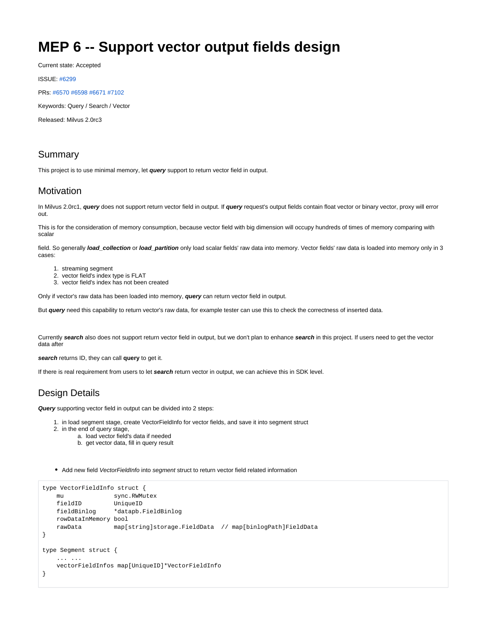# **MEP 6 -- Support vector output fields design**

Current state: Accepted

ISSUE: [#6299](https://github.com/milvus-io/milvus/issues/6299)

PRs: [#6570](https://github.com/milvus-io/milvus/issues/6570) [#6598](https://github.com/milvus-io/milvus/pull/6598) [#6671](https://github.com/milvus-io/milvus/pull/6671) [#7102](https://github.com/milvus-io/milvus/pull/7102)

Keywords: Query / Search / Vector

Released: Milvus 2.0rc3

### Summary

This project is to use minimal memory, let **query** support to return vector field in output.

#### Motivation

In Milvus 2.0rc1, **query** does not support return vector field in output. If **query** request's output fields contain float vector or binary vector, proxy will error out.

This is for the consideration of memory consumption, because vector field with big dimension will occupy hundreds of times of memory comparing with scalar

field. So generally *load collection* or *load partition* only load scalar fields' raw data into memory. Vector fields' raw data is loaded into memory only in 3 cases:

- 1. streaming segment
- 2. vector field's index type is FLAT
- 3. vector field's index has not been created

Only if vector's raw data has been loaded into memory, **query** can return vector field in output.

But **query** need this capability to return vector's raw data, for example tester can use this to check the correctness of inserted data.

Currently **search** also does not support return vector field in output, but we don't plan to enhance **search** in this project. If users need to get the vector data after

**search** returns ID, they can call **query** to get it.

If there is real requirement from users to let **search** return vector in output, we can achieve this in SDK level.

# Design Details

**Query** supporting vector field in output can be divided into 2 steps:

- 1. in load segment stage, create VectorFieldInfo for vector fields, and save it into segment struct
- 2. in the end of query stage,
	- a. load vector field's data if needed
	- b. get vector data, fill in query result
- Add new field VectorFieldInfo into segment struct to return vector field related information

```
type VectorFieldInfo struct {
 mu sync.RWMutex
 fieldID UniqueID
 fieldBinlog *datapb.FieldBinlog
    rowDataInMemory bool
    rawData map[string]storage.FieldData // map[binlogPath]FieldData
}
type Segment struct {
    ... ...
    vectorFieldInfos map[UniqueID]*VectorFieldInfo
}
```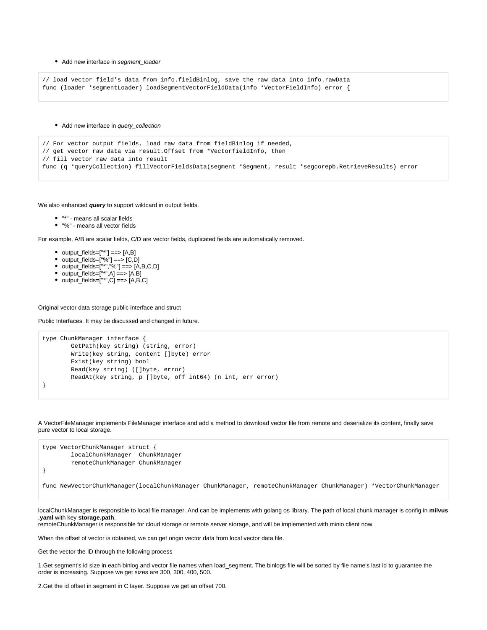#### • Add new interface in segment\_loader

```
// load vector field's data from info.fieldBinlog, save the raw data into info.rawData
func (loader *segmentLoader) loadSegmentVectorFieldData(info *VectorFieldInfo) error {
```
• Add new interface in query\_collection

```
// For vector output fields, load raw data from fieldBinlog if needed,
// get vector raw data via result.Offset from *VectorfieldInfo, then
// fill vector raw data into result
func (q *queryCollection) fillVectorFieldsData(segment *Segment, result *segcorepb.RetrieveResults) error
```
We also enhanced **query** to support wildcard in output fields.

- "\*" means all scalar fields
- "%" means all vector fields

For example, A/B are scalar fields, C/D are vector fields, duplicated fields are automatically removed.

- $\bullet$  output\_fields=["\*"] ==> [A,B]
- output\_fields=["%"] ==> [C,D]
- output\_fields=["\*","%"] ==> [A,B,C,D]
- output\_fields=["\*",A] ==> [A,B]
- output\_fields=["\*",C] ==> [A,B,C]

Original vector data storage public interface and struct

Public Interfaces. It may be discussed and changed in future.

```
type ChunkManager interface {
        GetPath(key string) (string, error)
        Write(key string, content []byte) error
        Exist(key string) bool
        Read(key string) ([]byte, error)
        ReadAt(key string, p []byte, off int64) (n int, err error)
}
```
A VectorFileManager implements FileManager interface and add a method to download vector file from remote and deserialize its content, finally save pure vector to local storage.



localChunkManager is responsible to local file manager. And can be implements with golang os library. The path of local chunk manager is config in **milvus .yaml** with key **storage.path**.

remoteChunkManager is responsible for cloud storage or remote server storage, and will be implemented with minio client now.

When the offset of vector is obtained, we can get origin vector data from local vector data file.

Get the vector the ID through the following process

1.Get segment's id size in each binlog and vector file names when load\_segment. The binlogs file will be sorted by file name's last id to guarantee the order is increasing. Suppose we get sizes are 300, 300, 400, 500.

2.Get the id offset in segment in C layer. Suppose we get an offset 700.